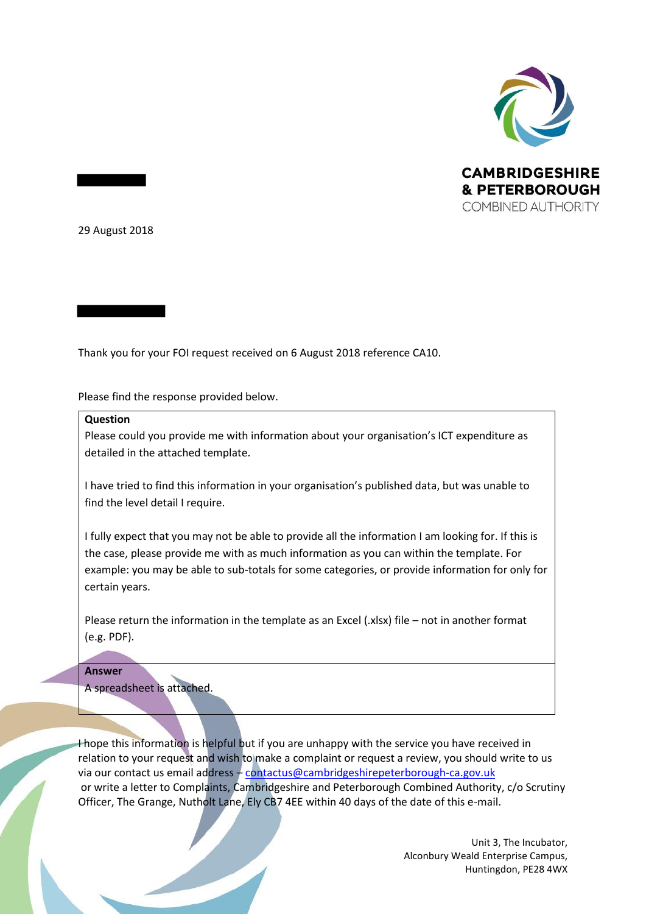

29 August 2018

Thank you for your FOI request received on 6 August 2018 reference CA10.

Please find the response provided below.

## **Question**

Please could you provide me with information about your organisation's ICT expenditure as detailed in the attached template.

I have tried to find this information in your organisation's published data, but was unable to find the level detail I require.

I fully expect that you may not be able to provide all the information I am looking for. If this is the case, please provide me with as much information as you can within the template. For example: you may be able to sub-totals for some categories, or provide information for only for certain years.

Please return the information in the template as an Excel (.xlsx) file – not in another format (e.g. PDF).

## **Answer**

A spreadsheet is attached.

I hope this information is helpful but if you are unhappy with the service you have received in relation to your request and wish to make a complaint or request a review, you should write to us via our contact us email address - [contactus@cambridgeshirepeterborough-ca.gov.uk](mailto:contactus@cambridgeshirepeterborough-ca.gov.uk) or write a letter to Complaints, Cambridgeshire and Peterborough Combined Authority, c/o Scrutiny Officer, The Grange, Nutholt Lane, Ely CB7 4EE within 40 days of the date of this e-mail.